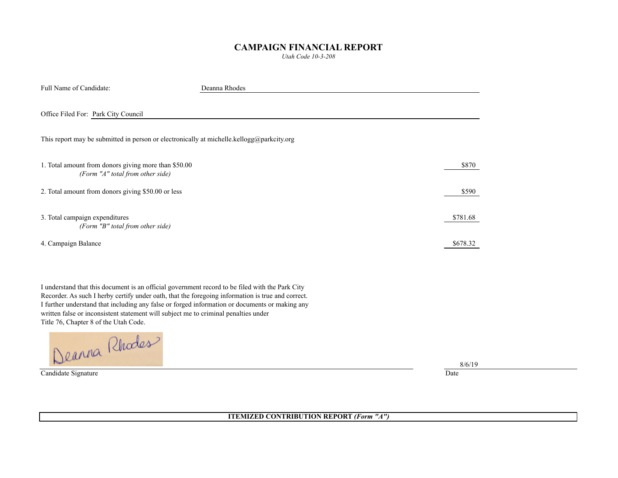## **CAMPAIGN FINANCIAL REPORT**

*Utah Code 10-3-208*

| Full Name of Candidate:                                                                   | Deanna Rhodes |          |  |  |
|-------------------------------------------------------------------------------------------|---------------|----------|--|--|
| Office Filed For: Park City Council                                                       |               |          |  |  |
| This report may be submitted in person or electronically at michelle.kellogg@parkcity.org |               |          |  |  |
| 1. Total amount from donors giving more than \$50.00<br>(Form "A" total from other side)  |               | \$870    |  |  |
| 2. Total amount from donors giving \$50.00 or less                                        |               | \$590    |  |  |
| 3. Total campaign expenditures<br>(Form "B" total from other side)                        |               | \$781.68 |  |  |
| 4. Campaign Balance                                                                       |               | \$678.32 |  |  |

I understand that this document is an official government record to be filed with the Park City Recorder. As such I herby certify under oath, that the foregoing information is true and correct. I further understand that including any false or forged information or documents or making any written false or inconsistent statement will subject me to criminal penalties under

Title 76, Chapter 8 of the Utah Code.

Candidate Signature Date

8/6/19

**ITEMIZED CONTRIBUTION REPORT** *(Form "A")*